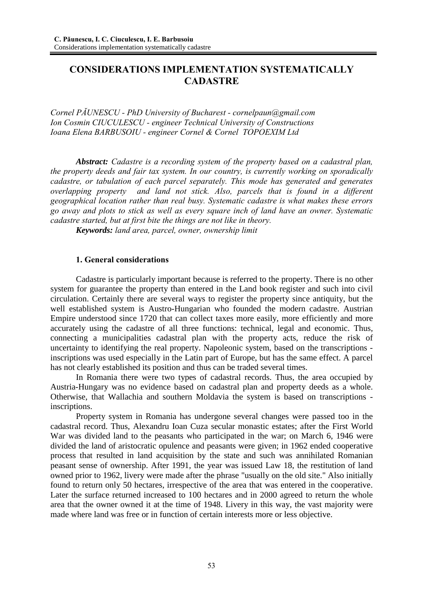# **CONSIDERATIONS IMPLEMENTATION SYSTEMATICALLY CADASTRE**

*Cornel PĂUNESCU - PhD University of Bucharest - cornelpaun@gmail.com Ion Cosmin CIUCULESCU - engineer Technical University of Constructions Ioana Elena BARBUSOIU - engineer Cornel & Cornel TOPOEXIM Ltd* 

*Abstract: Cadastre is a recording system of the property based on a cadastral plan, the property deeds and fair tax system. In our country, is currently working on sporadically cadastre, or tabulation of each parcel separately. This mode has generated and generates overlapping property and land not stick. Also, parcels that is found in a different geographical location rather than real busy. Systematic cadastre is what makes these errors go away and plots to stick as well as every square inch of land have an owner. Systematic cadastre started, but at first bite the things are not like in theory.* 

*Keywords: land area, parcel, owner, ownership limit* 

### **1. General considerations**

 Cadastre is particularly important because is referred to the property. There is no other system for guarantee the property than entered in the Land book register and such into civil circulation. Certainly there are several ways to register the property since antiquity, but the well established system is Austro-Hungarian who founded the modern cadastre. Austrian Empire understood since 1720 that can collect taxes more easily, more efficiently and more accurately using the cadastre of all three functions: technical, legal and economic. Thus, connecting a municipalities cadastral plan with the property acts, reduce the risk of uncertainty to identifying the real property. Napoleonic system, based on the transcriptions inscriptions was used especially in the Latin part of Europe, but has the same effect. A parcel has not clearly established its position and thus can be traded several times.

 In Romania there were two types of cadastral records. Thus, the area occupied by Austria-Hungary was no evidence based on cadastral plan and property deeds as a whole. Otherwise, that Wallachia and southern Moldavia the system is based on transcriptions inscriptions.

 Property system in Romania has undergone several changes were passed too in the cadastral record. Thus, Alexandru Ioan Cuza secular monastic estates; after the First World War was divided land to the peasants who participated in the war; on March 6, 1946 were divided the land of aristocratic opulence and peasants were given; in 1962 ended cooperative process that resulted in land acquisition by the state and such was annihilated Romanian peasant sense of ownership. After 1991, the year was issued Law 18, the restitution of land owned prior to 1962, livery were made after the phrase "usually on the old site." Also initially found to return only 50 hectares, irrespective of the area that was entered in the cooperative. Later the surface returned increased to 100 hectares and in 2000 agreed to return the whole area that the owner owned it at the time of 1948. Livery in this way, the vast majority were made where land was free or in function of certain interests more or less objective.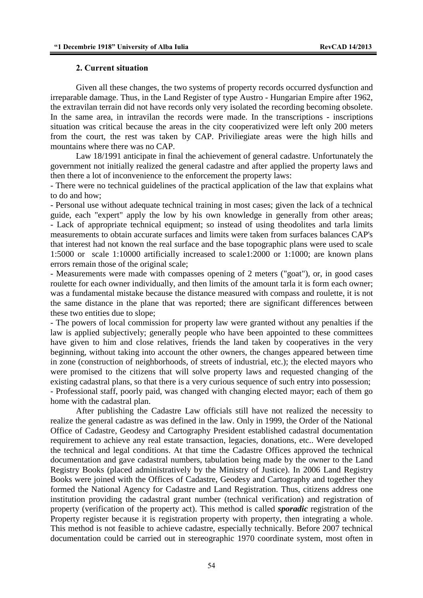#### **2. Current situation**

 Given all these changes, the two systems of property records occurred dysfunction and irreparable damage. Thus, in the Land Register of type Austro - Hungarian Empire after 1962, the extravilan terrain did not have records only very isolated the recording becoming obsolete. In the same area, in intravilan the records were made. In the transcriptions - inscriptions situation was critical because the areas in the city cooperativized were left only 200 meters from the court, the rest was taken by CAP. Priviliegiate areas were the high hills and mountains where there was no CAP.

 Law 18/1991 anticipate in final the achievement of general cadastre. Unfortunately the government not initially realized the general cadastre and after applied the property laws and then there a lot of inconvenience to the enforcement the property laws:

- There were no technical guidelines of the practical application of the law that explains what to do and how;

- Personal use without adequate technical training in most cases; given the lack of a technical guide, each "expert" apply the low by his own knowledge in generally from other areas; - Lack of appropriate technical equipment; so instead of using theodolites and tarla limits measurements to obtain accurate surfaces and limits were taken from surfaces balances CAP's that interest had not known the real surface and the base topographic plans were used to scale 1:5000 or scale 1:10000 artificially increased to scale1:2000 or 1:1000; are known plans errors remain those of the original scale;

- Measurements were made with compasses opening of 2 meters ("goat"), or, in good cases roulette for each owner individually, and then limits of the amount tarla it is form each owner; was a fundamental mistake because the distance measured with compass and roulette, it is not the same distance in the plane that was reported; there are significant differences between these two entities due to slope;

- The powers of local commission for property law were granted without any penalties if the law is applied subjectively; generally people who have been appointed to these committees have given to him and close relatives, friends the land taken by cooperatives in the very beginning, without taking into account the other owners, the changes appeared between time in zone (construction of neighborhoods, of streets of industrial, etc.); the elected mayors who were promised to the citizens that will solve property laws and requested changing of the existing cadastral plans, so that there is a very curious sequence of such entry into possession; - Professional staff, poorly paid, was changed with changing elected mayor; each of them go home with the cadastral plan.

 After publishing the Cadastre Law officials still have not realized the necessity to realize the general cadastre as was defined in the law. Only in 1999, the Order of the National Office of Cadastre, Geodesy and Cartography President established cadastral documentation requirement to achieve any real estate transaction, legacies, donations, etc.. Were developed the technical and legal conditions. At that time the Cadastre Offices approved the technical documentation and gave cadastral numbers, tabulation being made by the owner to the Land Registry Books (placed administratively by the Ministry of Justice). In 2006 Land Registry Books were joined with the Offices of Cadastre, Geodesy and Cartography and together they formed the National Agency for Cadastre and Land Registration. Thus, citizens address one institution providing the cadastral grant number (technical verification) and registration of property (verification of the property act). This method is called *sporadic* registration of the Property register because it is registration property with property, then integrating a whole. This method is not feasible to achieve cadastre, especially technically. Before 2007 technical documentation could be carried out in stereographic 1970 coordinate system, most often in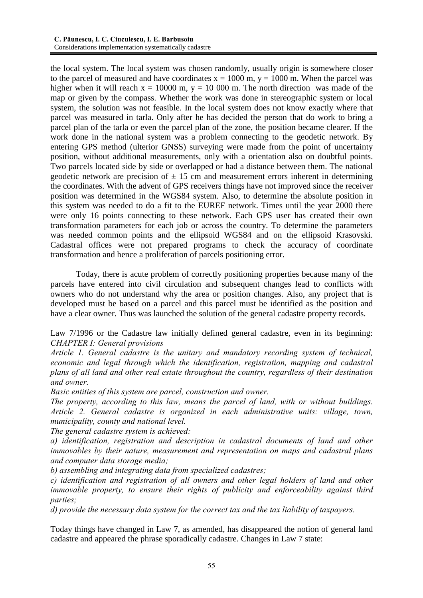the local system. The local system was chosen randomly, usually origin is somewhere closer to the parcel of measured and have coordinates  $x = 1000$  m,  $y = 1000$  m. When the parcel was higher when it will reach  $x = 10000$  m,  $y = 10000$  m. The north direction was made of the map or given by the compass. Whether the work was done in stereographic system or local system, the solution was not feasible. In the local system does not know exactly where that parcel was measured in tarla. Only after he has decided the person that do work to bring a parcel plan of the tarla or even the parcel plan of the zone, the position became clearer. If the work done in the national system was a problem connecting to the geodetic network. By entering GPS method (ulterior GNSS) surveying were made from the point of uncertainty position, without additional measurements, only with a orientation also on doubtful points. Two parcels located side by side or overlapped or had a distance between them. The national geodetic network are precision of  $\pm$  15 cm and measurement errors inherent in determining the coordinates. With the advent of GPS receivers things have not improved since the receiver position was determined in the WGS84 system. Also, to determine the absolute position in this system was needed to do a fit to the EUREF network. Times until the year 2000 there were only 16 points connecting to these network. Each GPS user has created their own transformation parameters for each job or across the country. To determine the parameters was needed common points and the ellipsoid WGS84 and on the ellipsoid Krasovski. Cadastral offices were not prepared programs to check the accuracy of coordinate transformation and hence a proliferation of parcels positioning error.

 Today, there is acute problem of correctly positioning properties because many of the parcels have entered into civil circulation and subsequent changes lead to conflicts with owners who do not understand why the area or position changes. Also, any project that is developed must be based on a parcel and this parcel must be identified as the position and have a clear owner. Thus was launched the solution of the general cadastre property records.

Law 7/1996 or the Cadastre law initially defined general cadastre, even in its beginning: *CHAPTER I: General provisions* 

*Article 1. General cadastre is the unitary and mandatory recording system of technical, economic and legal through which the identification, registration, mapping and cadastral plans of all land and other real estate throughout the country, regardless of their destination and owner.* 

*Basic entities of this system are parcel, construction and owner.* 

*The property, according to this law, means the parcel of land, with or without buildings. Article 2. General cadastre is organized in each administrative units: village, town, municipality, county and national level.* 

*The general cadastre system is achieved:* 

*a) identification, registration and description in cadastral documents of land and other immovables by their nature, measurement and representation on maps and cadastral plans and computer data storage media;* 

*b) assembling and integrating data from specialized cadastres;* 

*c) identification and registration of all owners and other legal holders of land and other immovable property, to ensure their rights of publicity and enforceability against third parties;* 

*d) provide the necessary data system for the correct tax and the tax liability of taxpayers.* 

Today things have changed in Law 7, as amended, has disappeared the notion of general land cadastre and appeared the phrase sporadically cadastre. Changes in Law 7 state: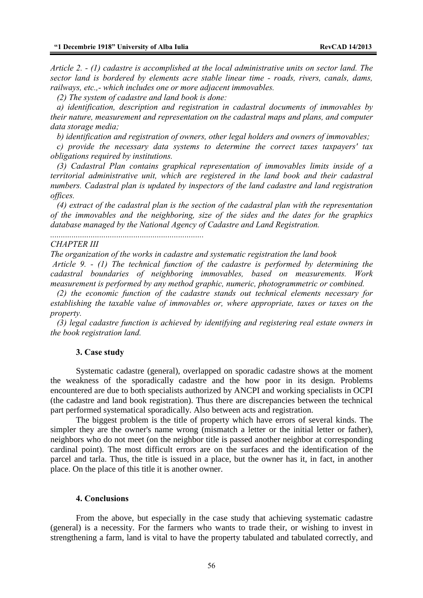*Article 2. - (1) cadastre is accomplished at the local administrative units on sector land. The sector land is bordered by elements acre stable linear time - roads, rivers, canals, dams, railways, etc.,- which includes one or more adjacent immovables.* 

 *(2) The system of cadastre and land book is done:* 

*........................................................................* 

 *a) identification, description and registration in cadastral documents of immovables by their nature, measurement and representation on the cadastral maps and plans, and computer data storage media;* 

 *b) identification and registration of owners, other legal holders and owners of immovables;* 

 *c) provide the necessary data systems to determine the correct taxes taxpayers' tax obligations required by institutions.* 

 *(3) Cadastral Plan contains graphical representation of immovables limits inside of a territorial administrative unit, which are registered in the land book and their cadastral numbers. Cadastral plan is updated by inspectors of the land cadastre and land registration offices.* 

 *(4) extract of the cadastral plan is the section of the cadastral plan with the representation of the immovables and the neighboring, size of the sides and the dates for the graphics database managed by the National Agency of Cadastre and Land Registration.* 

#### *CHAPTER III*

*The organization of the works in cadastre and systematic registration the land book* 

 *Article 9. - (1) The technical function of the cadastre is performed by determining the cadastral boundaries of neighboring immovables, based on measurements. Work measurement is performed by any method graphic, numeric, photogrammetric or combined.* 

 *(2) the economic function of the cadastre stands out technical elements necessary for establishing the taxable value of immovables or, where appropriate, taxes or taxes on the property.* 

 *(3) legal cadastre function is achieved by identifying and registering real estate owners in the book registration land.* 

#### **3. Case study**

Systematic cadastre (general), overlapped on sporadic cadastre shows at the moment the weakness of the sporadically cadastre and the how poor in its design. Problems encountered are due to both specialists authorized by ANCPI and working specialists in OCPI (the cadastre and land book registration). Thus there are discrepancies between the technical part performed systematical sporadically. Also between acts and registration.

 The biggest problem is the title of property which have errors of several kinds. The simpler they are the owner's name wrong (mismatch a letter or the initial letter or father), neighbors who do not meet (on the neighbor title is passed another neighbor at corresponding cardinal point). The most difficult errors are on the surfaces and the identification of the parcel and tarla. Thus, the title is issued in a place, but the owner has it, in fact, in another place. On the place of this title it is another owner.

#### **4. Conclusions**

 From the above, but especially in the case study that achieving systematic cadastre (general) is a necessity. For the farmers who wants to trade their, or wishing to invest in strengthening a farm, land is vital to have the property tabulated and tabulated correctly, and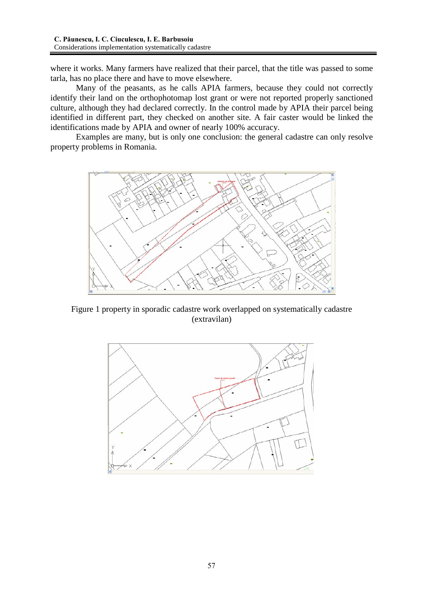where it works. Many farmers have realized that their parcel, that the title was passed to some tarla, has no place there and have to move elsewhere.

 Many of the peasants, as he calls APIA farmers, because they could not correctly identify their land on the orthophotomap lost grant or were not reported properly sanctioned culture, although they had declared correctly. In the control made by APIA their parcel being identified in different part, they checked on another site. A fair caster would be linked the identifications made by APIA and owner of nearly 100% accuracy.

 Examples are many, but is only one conclusion: the general cadastre can only resolve property problems in Romania.



Figure 1 property in sporadic cadastre work overlapped on systematically cadastre (extravilan)